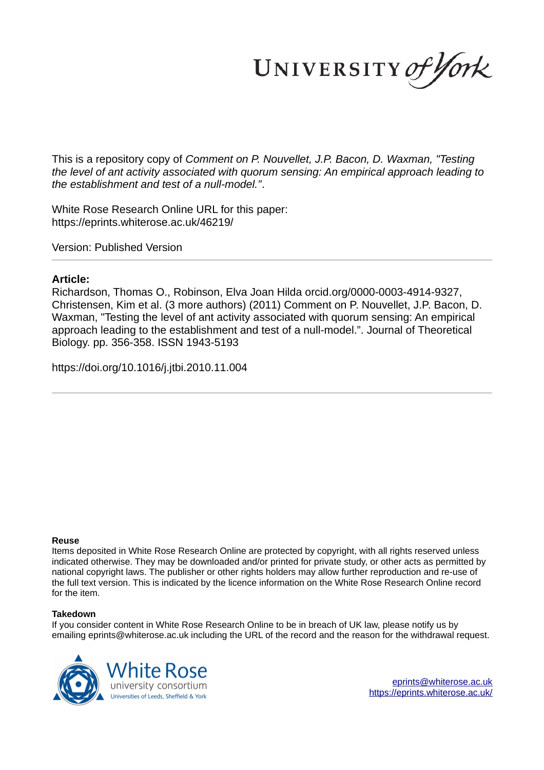UNIVERSITY of York

This is a repository copy of *Comment on P. Nouvellet, J.P. Bacon, D. Waxman, "Testing the level of ant activity associated with quorum sensing: An empirical approach leading to the establishment and test of a null-model."*.

White Rose Research Online URL for this paper: https://eprints.whiterose.ac.uk/46219/

Version: Published Version

# **Article:**

Richardson, Thomas O., Robinson, Elva Joan Hilda orcid.org/0000-0003-4914-9327, Christensen, Kim et al. (3 more authors) (2011) Comment on P. Nouvellet, J.P. Bacon, D. Waxman, "Testing the level of ant activity associated with quorum sensing: An empirical approach leading to the establishment and test of a null-model.". Journal of Theoretical Biology. pp. 356-358. ISSN 1943-5193

https://doi.org/10.1016/j.jtbi.2010.11.004

# **Reuse**

Items deposited in White Rose Research Online are protected by copyright, with all rights reserved unless indicated otherwise. They may be downloaded and/or printed for private study, or other acts as permitted by national copyright laws. The publisher or other rights holders may allow further reproduction and re-use of the full text version. This is indicated by the licence information on the White Rose Research Online record for the item.

# **Takedown**

If you consider content in White Rose Research Online to be in breach of UK law, please notify us by emailing eprints@whiterose.ac.uk including the URL of the record and the reason for the withdrawal request.

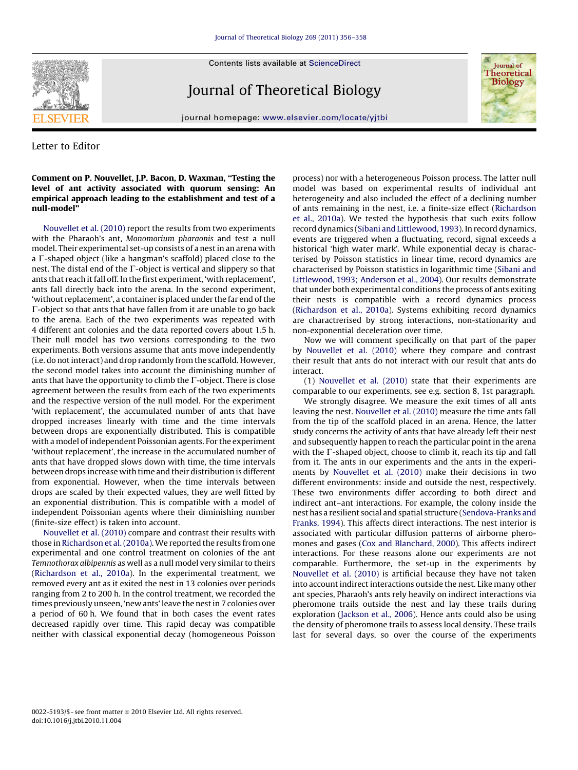**SEVIER** 

Contents lists available at ScienceDirect

# Journal of Theoretical Biology



journal homepage: www.elsevier.com/locate/yjtbi

### Letter to Editor

### Comment on P. Nouvellet, J.P. Bacon, D. Waxman, ''Testing the level of ant activity associated with quorum sensing: An empirical approach leading to the establishment and test of a null-model''

Nouvellet et al. (2010) report the results from two experiments with the Pharaoh's ant, Monomorium pharaonis and test a null model. Their experimental set-up consists of a nest in an arena with a  $\Gamma$ -shaped object (like a hangman's scaffold) placed close to the nest. The distal end of the  $\Gamma$ -object is vertical and slippery so that ants that reach it fall off. In the first experiment, 'with replacement', ants fall directly back into the arena. In the second experiment, 'without replacement', a container is placed under the far end of the  $\Gamma$ -object so that ants that have fallen from it are unable to go back to the arena. Each of the two experiments was repeated with 4 different ant colonies and the data reported covers about 1.5 h. Their null model has two versions corresponding to the two experiments. Both versions assume that ants move independently (i.e. do not interact) and drop randomly from the scaffold. However, the second model takes into account the diminishing number of ants that have the opportunity to climb the  $\Gamma$ -object. There is close agreement between the results from each of the two experiments and the respective version of the null model. For the experiment 'with replacement', the accumulated number of ants that have dropped increases linearly with time and the time intervals between drops are exponentially distributed. This is compatible with a model of independent Poissonian agents. For the experiment 'without replacement', the increase in the accumulated number of ants that have dropped slows down with time, the time intervals between drops increase with time and their distribution is different from exponential. However, when the time intervals between drops are scaled by their expected values, they are well fitted by an exponential distribution. This is compatible with a model of independent Poissonian agents where their diminishing number (finite-size effect) is taken into account.

Nouvellet et al. (2010) compare and contrast their results with those in Richardson et al. (2010a). We reported the results from one experimental and one control treatment on colonies of the ant Temnothorax albipennis as well as a null model very similar to theirs (Richardson et al., 2010a). In the experimental treatment, we removed every ant as it exited the nest in 13 colonies over periods ranging from 2 to 200 h. In the control treatment, we recorded the times previously unseen, 'new ants' leave the nest in 7 colonies over a period of 60 h. We found that in both cases the event rates decreased rapidly over time. This rapid decay was compatible neither with classical exponential decay (homogeneous Poisson process) nor with a heterogeneous Poisson process. The latter null model was based on experimental results of individual ant heterogeneity and also included the effect of a declining number of ants remaining in the nest, i.e. a finite-size effect (Richardson et al., 2010a). We tested the hypothesis that such exits follow record dynamics (Sibani and Littlewood, 1993). In record dynamics, events are triggered when a fluctuating, record, signal exceeds a historical 'high water mark'. While exponential decay is characterised by Poisson statistics in linear time, record dynamics are characterised by Poisson statistics in logarithmic time (Sibani and Littlewood, 1993; Anderson et al., 2004). Our results demonstrate that under both experimental conditions the process of ants exiting their nests is compatible with a record dynamics process (Richardson et al., 2010a). Systems exhibiting record dynamics are charactrerised by strong interactions, non-stationarity and non-exponential deceleration over time.

Now we will comment specifically on that part of the paper by Nouvellet et al. (2010) where they compare and contrast their result that ants do not interact with our result that ants do interact.

(1) Nouvellet et al. (2010) state that their experiments are comparable to our experiments, see e.g. section 8, 1st paragraph.

We strongly disagree. We measure the exit times of all ants leaving the nest. Nouvellet et al. (2010) measure the time ants fall from the tip of the scaffold placed in an arena. Hence, the latter study concerns the activity of ants that have already left their nest and subsequently happen to reach the particular point in the arena with the  $\Gamma$ -shaped object, choose to climb it, reach its tip and fall from it. The ants in our experiments and the ants in the experiments by Nouvellet et al. (2010) make their decisions in two different environments: inside and outside the nest, respectively. These two environments differ according to both direct and indirect ant–ant interactions. For example, the colony inside the nest has a resilient social and spatial structure (Sendova-Franks and Franks, 1994). This affects direct interactions. The nest interior is associated with particular diffusion patterns of airborne pheromones and gases (Cox and Blanchard, 2000). This affects indirect interactions. For these reasons alone our experiments are not comparable. Furthermore, the set-up in the experiments by Nouvellet et al. (2010) is artificial because they have not taken into account indirect interactions outside the nest. Like many other ant species, Pharaoh's ants rely heavily on indirect interactions via pheromone trails outside the nest and lay these trails during exploration (Jackson et al., 2006). Hence ants could also be using the density of pheromone trails to assess local density. These trails last for several days, so over the course of the experiments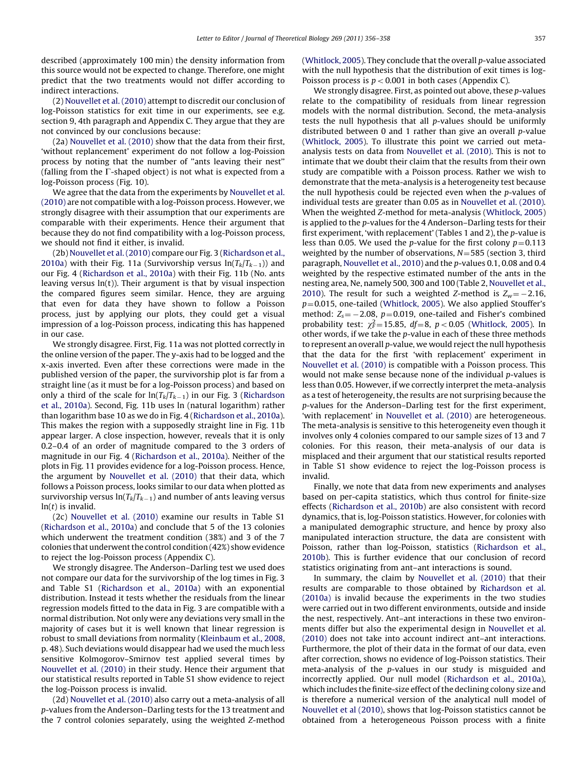described (approximately 100 min) the density information from this source would not be expected to change. Therefore, one might predict that the two treatments would not differ according to indirect interactions.

(2) Nouvellet et al. (2010) attempt to discredit our conclusion of log-Poisson statistics for exit time in our experiments, see e.g. section 9, 4th paragraph and Appendix C. They argue that they are not convinced by our conclusions because:

(2a) Nouvellet et al. (2010) show that the data from their first, 'without replancement' experiment do not follow a log-Poission process by noting that the number of ''ants leaving their nest'' (falling from the  $\Gamma$ -shaped object) is not what is expected from a log-Poisson process (Fig. 10).

We agree that the data from the experiments by Nouvellet et al. (2010) are not compatible with a log-Poisson process. However, we strongly disagree with their assumption that our experiments are comparable with their experiments. Hence their argument that because they do not find compatibility with a log-Poisson process, we should not find it either, is invalid.

(2b) Nouvellet et al. (2010) compare our Fig. 3 (Richardson et al., 2010a) with their Fig. 11a (Survivorship versus  $\ln(T_k/T_{k-1}))$  and our Fig. 4 (Richardson et al., 2010a) with their Fig. 11b (No. ants leaving versus  $ln(t)$ ). Their argument is that by visual inspection the compared figures seem similar. Hence, they are arguing that even for data they have shown to follow a Poisson process, just by applying our plots, they could get a visual impression of a log-Poisson process, indicating this has happened in our case.

We strongly disagree. First, Fig. 11a was not plotted correctly in the online version of the paper. The y-axis had to be logged and the x-axis inverted. Even after these corrections were made in the published version of the paper, the survivorship plot is far from a straight line (as it must be for a log-Poisson process) and based on only a third of the scale for  $\ln(T_k/T_{k-1})$  in our Fig. 3 (Richardson et al., 2010a). Second, Fig. 11b uses ln (natural logarithm) rather than logarithm base 10 as we do in Fig. 4 (Richardson et al., 2010a). This makes the region with a supposedly straight line in Fig. 11b appear larger. A close inspection, however, reveals that it is only 0.2–0.4 of an order of magnitude compared to the 3 orders of magnitude in our Fig. 4 (Richardson et al., 2010a). Neither of the plots in Fig. 11 provides evidence for a log-Poisson process. Hence, the argument by Nouvellet et al. (2010) that their data, which follows a Poisson process, looks similar to our data when plotted as survivorship versus ln $\left(T_k/T_{k-1}\right)$  and number of ants leaving versus  $ln(t)$  is invalid.

(2c) Nouvellet et al. (2010) examine our results in Table S1 (Richardson et al., 2010a) and conclude that 5 of the 13 colonies which underwent the treatment condition (38%) and 3 of the 7 colonies that underwent the control condition (42%) show evidence to reject the log-Poisson process (Appendix C).

We strongly disagree. The Anderson–Darling test we used does not compare our data for the survivorship of the log times in Fig. 3 and Table S1 (Richardson et al., 2010a) with an exponential distribution. Instead it tests whether the residuals from the linear regression models fitted to the data in Fig. 3 are compatible with a normal distribution. Not only were any deviations very small in the majority of cases but it is well known that linear regression is robust to small deviations from normality (Kleinbaum et al., 2008, p. 48). Such deviations would disappear had we used the much less sensitive Kolmogorov–Smirnov test applied several times by Nouvellet et al. (2010) in their study. Hence their argument that our statistical results reported in Table S1 show evidence to reject the log-Poisson process is invalid.

(2d) Nouvellet et al. (2010) also carry out a meta-analysis of all p-values from the Anderson–Darling tests for the 13 treatment and the 7 control colonies separately, using the weighted Z-method (Whitlock, 2005). They conclude that the overall p-value associated with the null hypothesis that the distribution of exit times is log-Poisson process is  $p < 0.001$  in both cases (Appendix C).

We strongly disagree. First, as pointed out above, these p-values relate to the compatibility of residuals from linear regression models with the normal distribution. Second, the meta-analysis tests the null hypothesis that all p-values should be uniformly distributed between 0 and 1 rather than give an overall p-value (Whitlock, 2005). To illustrate this point we carried out metaanalysis tests on data from Nouvellet et al. (2010). This is not to intimate that we doubt their claim that the results from their own study are compatible with a Poisson process. Rather we wish to demonstrate that the meta-analysis is a heterogeneity test because the null hypothesis could be rejected even when the  $p$ -values of individual tests are greater than 0.05 as in Nouvellet et al. (2010). When the weighted Z-method for meta-analysis (Whitlock, 2005) is applied to the p-values for the 4 Anderson–Darling tests for their first experiment, 'with replacement' (Tables 1 and 2), the p-value is less than 0.05. We used the *p*-value for the first colony  $p=0.113$ weighted by the number of observations,  $N=585$  (section 3, third paragraph, Nouvellet et al., 2010) and the p-values 0.1, 0.08 and 0.4 weighted by the respective estimated number of the ants in the nesting area, Ne, namely 500, 300 and 100 (Table 2, Nouvellet et al., 2010). The result for such a weighted Z-method is  $Z_w = -2.16$ ,  $p=0.015$ , one-tailed (Whitlock, 2005). We also applied Stouffer's method:  $Z_s = -2.08$ ,  $p = 0.019$ , one-tailed and Fisher's combined probability test:  $\chi^2 = 15.85$ ,  $df = 8$ ,  $p < 0.05$  (Whitlock, 2005). In other words, if we take the p-value in each of these three methods to represent an overall p-value, we would reject the null hypothesis that the data for the first 'with replacement' experiment in Nouvellet et al. (2010) is compatible with a Poisson process. This would not make sense because none of the individual p-values is less than 0.05. However, if we correctly interpret the meta-analysis as a test of heterogeneity, the results are not surprising because the p-values for the Anderson–Darling test for the first experiment, 'with replacement' in Nouvellet et al. (2010) are heterogeneous. The meta-analysis is sensitive to this heterogeneity even though it involves only 4 colonies compared to our sample sizes of 13 and 7 colonies. For this reason, their meta-analysis of our data is misplaced and their argument that our statistical results reported in Table S1 show evidence to reject the log-Poisson process is invalid.

Finally, we note that data from new experiments and analyses based on per-capita statistics, which thus control for finite-size effects (Richardson et al., 2010b) are also consistent with record dynamics, that is, log-Poisson statistics. However, for colonies with a manipulated demographic structure, and hence by proxy also manipulated interaction structure, the data are consistent with Poisson, rather than log-Poisson, statistics (Richardson et al., 2010b). This is further evidence that our conclusion of record statistics originating from ant–ant interactions is sound.

In summary, the claim by Nouvellet et al. (2010) that their results are comparable to those obtained by Richardson et al. (2010a) is invalid because the experiments in the two studies were carried out in two different environments, outside and inside the nest, respectively. Ant–ant interactions in these two environments differ but also the experimental design in Nouvellet et al. (2010) does not take into account indirect ant–ant interactions. Furthermore, the plot of their data in the format of our data, even after correction, shows no evidence of log-Poisson statistics. Their meta-analysis of the p-values in our study is misguided and incorrectly applied. Our null model (Richardson et al., 2010a), which includes the finite-size effect of the declining colony size and is therefore a numerical version of the analytical null model of Nouvellet et al (2010), shows that log-Poisson statistics cannot be obtained from a heterogeneous Poisson process with a finite